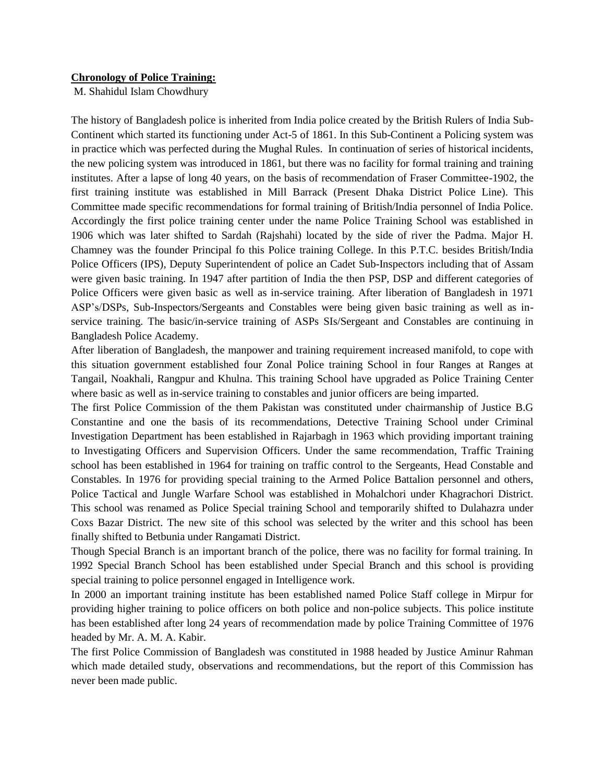## **Chronology of Police Training:**

M. Shahidul Islam Chowdhury

The history of Bangladesh police is inherited from India police created by the British Rulers of India Sub-Continent which started its functioning under Act-5 of 1861. In this Sub-Continent a Policing system was in practice which was perfected during the Mughal Rules. In continuation of series of historical incidents, the new policing system was introduced in 1861, but there was no facility for formal training and training institutes. After a lapse of long 40 years, on the basis of recommendation of Fraser Committee-1902, the first training institute was established in Mill Barrack (Present Dhaka District Police Line). This Committee made specific recommendations for formal training of British/India personnel of India Police. Accordingly the first police training center under the name Police Training School was established in 1906 which was later shifted to Sardah (Rajshahi) located by the side of river the Padma. Major H. Chamney was the founder Principal fo this Police training College. In this P.T.C. besides British/India Police Officers (IPS), Deputy Superintendent of police an Cadet Sub-Inspectors including that of Assam were given basic training. In 1947 after partition of India the then PSP, DSP and different categories of Police Officers were given basic as well as in-service training. After liberation of Bangladesh in 1971 ASP's/DSPs, Sub-Inspectors/Sergeants and Constables were being given basic training as well as inservice training. The basic/in-service training of ASPs SIs/Sergeant and Constables are continuing in Bangladesh Police Academy.

After liberation of Bangladesh, the manpower and training requirement increased manifold, to cope with this situation government established four Zonal Police training School in four Ranges at Ranges at Tangail, Noakhali, Rangpur and Khulna. This training School have upgraded as Police Training Center where basic as well as in-service training to constables and junior officers are being imparted.

The first Police Commission of the them Pakistan was constituted under chairmanship of Justice B.G Constantine and one the basis of its recommendations, Detective Training School under Criminal Investigation Department has been established in Rajarbagh in 1963 which providing important training to Investigating Officers and Supervision Officers. Under the same recommendation, Traffic Training school has been established in 1964 for training on traffic control to the Sergeants, Head Constable and Constables. In 1976 for providing special training to the Armed Police Battalion personnel and others, Police Tactical and Jungle Warfare School was established in Mohalchori under Khagrachori District. This school was renamed as Police Special training School and temporarily shifted to Dulahazra under Coxs Bazar District. The new site of this school was selected by the writer and this school has been finally shifted to Betbunia under Rangamati District.

Though Special Branch is an important branch of the police, there was no facility for formal training. In 1992 Special Branch School has been established under Special Branch and this school is providing special training to police personnel engaged in Intelligence work.

In 2000 an important training institute has been established named Police Staff college in Mirpur for providing higher training to police officers on both police and non-police subjects. This police institute has been established after long 24 years of recommendation made by police Training Committee of 1976 headed by Mr. A. M. A. Kabir.

The first Police Commission of Bangladesh was constituted in 1988 headed by Justice Aminur Rahman which made detailed study, observations and recommendations, but the report of this Commission has never been made public.